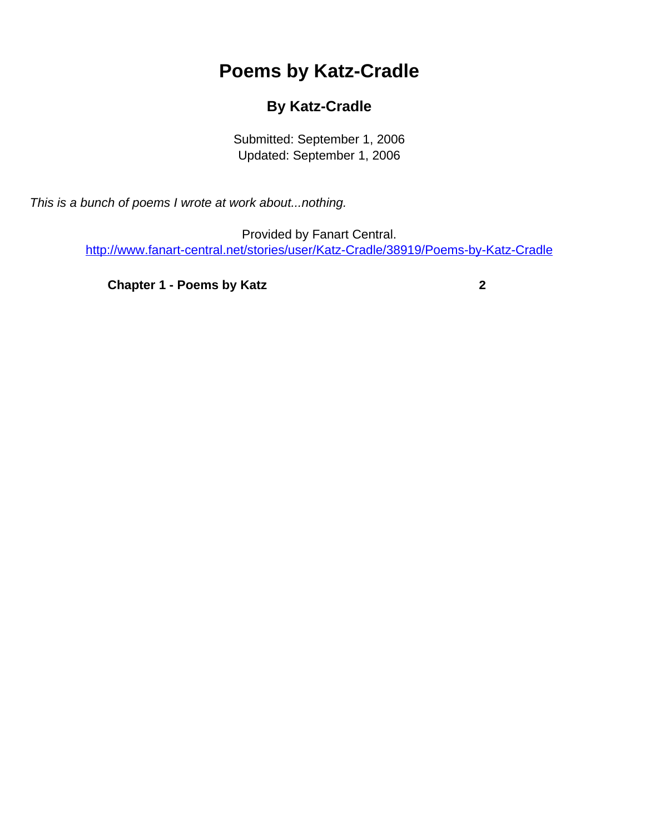# **Poems by Katz-Cradle**

# **By Katz-Cradle**

Submitted: September 1, 2006 Updated: September 1, 2006

<span id="page-0-0"></span>This is a bunch of poems I wrote at work about...nothing.

Provided by Fanart Central. [http://www.fanart-central.net/stories/user/Katz-Cradle/38919/Poems-by-Katz-Cradle](#page-0-0)

**[Chapter 1 - Poems by Katz](#page-1-0)** [2](#page-1-0)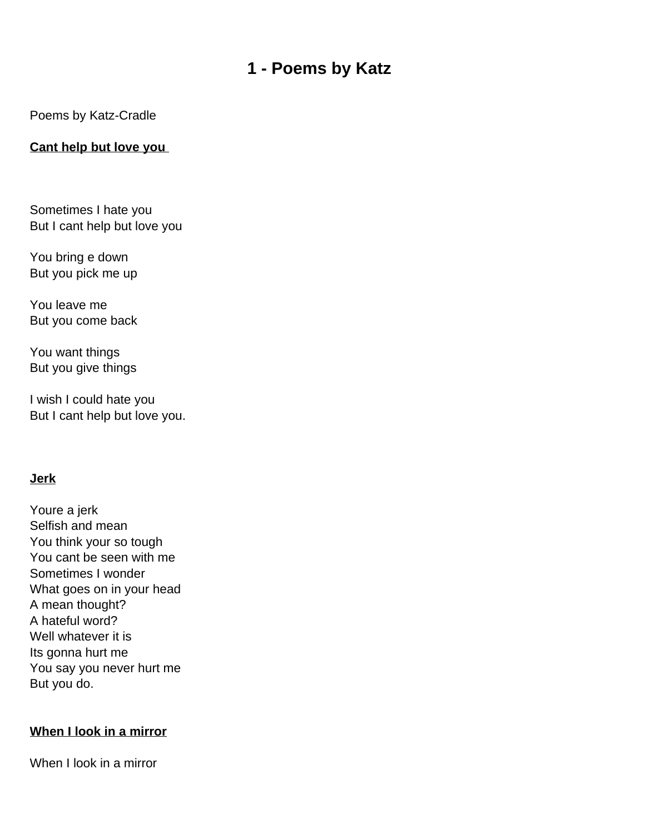# **1 - Poems by Katz**

<span id="page-1-0"></span>Poems by Katz-Cradle

### **Cant help but love you**

Sometimes I hate you But I can t help but love you

You bring e down But you pick me up

You leave me But you come back

You want things But you give things

I wish I could hate you But I can t help but love you.

#### **Jerk**

You re a jerk Selfish and mean You think your so tough You can t be seen with me Sometimes I wonder What goes on in your head A mean thought? A hateful word? Well whatever it is Its gonna hurt me You say you never hurt me But you do.

#### **When I look in a mirror**

When I look in a mirror